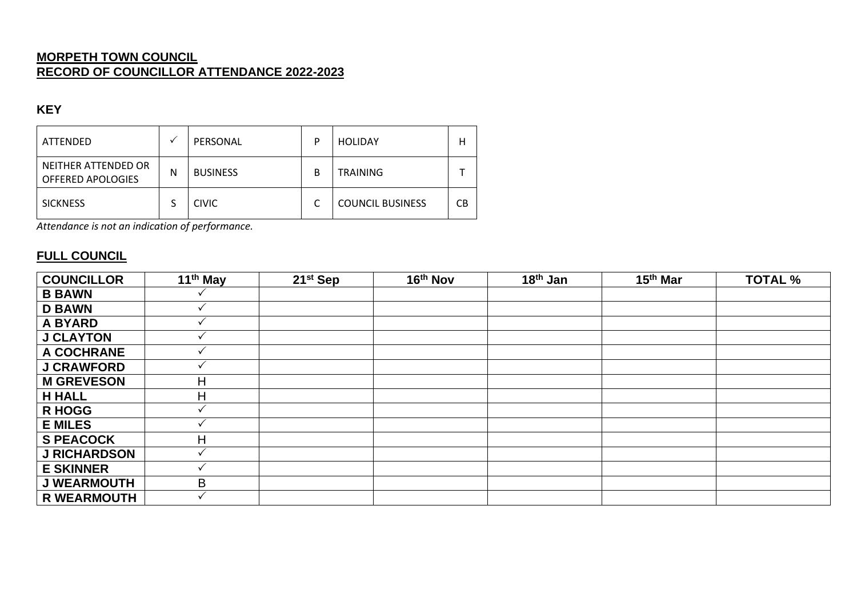### **MORPETH TOWN COUNCIL RECORD OF COUNCILLOR ATTENDANCE 2022-2023**

#### **KEY**

| ATTENDED                                 |   | PERSONAL        | P | <b>HOLIDAY</b>          | н  |
|------------------------------------------|---|-----------------|---|-------------------------|----|
| NEITHER ATTENDED OR<br>OFFERED APOLOGIES | N | <b>BUSINESS</b> | В | <b>TRAINING</b>         |    |
| <b>SICKNESS</b>                          |   | <b>CIVIC</b>    |   | <b>COUNCIL BUSINESS</b> | СB |

*Attendance is not an indication of performance.*

### **FULL COUNCIL**

| <b>COUNCILLOR</b>   | 11 <sup>th</sup> May | 21 <sup>st</sup> Sep | 16th Nov | 18 <sup>th</sup> Jan | 15 <sup>th</sup> Mar | <b>TOTAL %</b> |
|---------------------|----------------------|----------------------|----------|----------------------|----------------------|----------------|
| <b>B BAWN</b>       |                      |                      |          |                      |                      |                |
| <b>D BAWN</b>       |                      |                      |          |                      |                      |                |
| <b>A BYARD</b>      |                      |                      |          |                      |                      |                |
| <b>J CLAYTON</b>    |                      |                      |          |                      |                      |                |
| A COCHRANE          |                      |                      |          |                      |                      |                |
| <b>J CRAWFORD</b>   |                      |                      |          |                      |                      |                |
| <b>M GREVESON</b>   | н                    |                      |          |                      |                      |                |
| <b>H HALL</b>       | н                    |                      |          |                      |                      |                |
| <b>R HOGG</b>       |                      |                      |          |                      |                      |                |
| <b>E MILES</b>      |                      |                      |          |                      |                      |                |
| <b>S PEACOCK</b>    | Н                    |                      |          |                      |                      |                |
| <b>J RICHARDSON</b> |                      |                      |          |                      |                      |                |
| <b>E SKINNER</b>    |                      |                      |          |                      |                      |                |
| <b>J WEARMOUTH</b>  | B                    |                      |          |                      |                      |                |
| <b>R WEARMOUTH</b>  |                      |                      |          |                      |                      |                |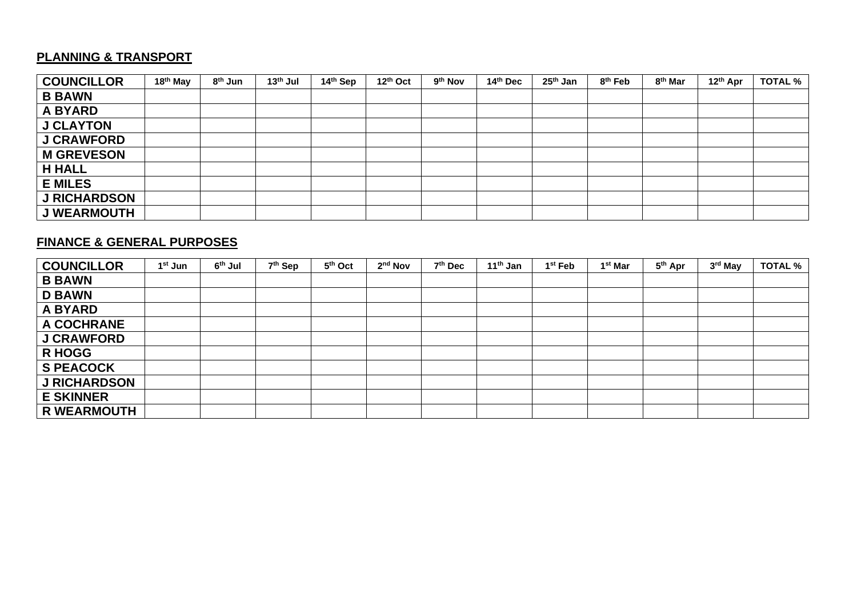## **PLANNING & TRANSPORT**

| <b>COUNCILLOR</b>   | 18 <sup>th</sup> May | 8 <sup>th</sup> Jun | 13 <sup>th</sup> Jul | 14th Sep | 12th Oct | 9 <sup>th</sup> Nov | 14th Dec | 25 <sup>th</sup> Jan | 8 <sup>th</sup> Feb | 8 <sup>th</sup> Mar | 12th Apr | <b>TOTAL %</b> |
|---------------------|----------------------|---------------------|----------------------|----------|----------|---------------------|----------|----------------------|---------------------|---------------------|----------|----------------|
| <b>B BAWN</b>       |                      |                     |                      |          |          |                     |          |                      |                     |                     |          |                |
| <b>A BYARD</b>      |                      |                     |                      |          |          |                     |          |                      |                     |                     |          |                |
| <b>J CLAYTON</b>    |                      |                     |                      |          |          |                     |          |                      |                     |                     |          |                |
| <b>J CRAWFORD</b>   |                      |                     |                      |          |          |                     |          |                      |                     |                     |          |                |
| <b>M GREVESON</b>   |                      |                     |                      |          |          |                     |          |                      |                     |                     |          |                |
| <b>H HALL</b>       |                      |                     |                      |          |          |                     |          |                      |                     |                     |          |                |
| <b>E MILES</b>      |                      |                     |                      |          |          |                     |          |                      |                     |                     |          |                |
| <b>J RICHARDSON</b> |                      |                     |                      |          |          |                     |          |                      |                     |                     |          |                |
| <b>J WEARMOUTH</b>  |                      |                     |                      |          |          |                     |          |                      |                     |                     |          |                |

### **FINANCE & GENERAL PURPOSES**

| <b>COUNCILLOR</b>   | 1 <sup>st</sup> Jun | 6 <sup>th</sup> Jul | 7 <sup>th</sup> Sep | 5 <sup>th</sup> Oct | 2 <sup>nd</sup> Nov | 7 <sup>th</sup> Dec | 11 <sup>th</sup> Jan | 1 <sup>st</sup> Feb | 1 <sup>st</sup> Mar | 5 <sup>th</sup> Apr | 3rd May | <b>TOTAL %</b> |
|---------------------|---------------------|---------------------|---------------------|---------------------|---------------------|---------------------|----------------------|---------------------|---------------------|---------------------|---------|----------------|
| <b>B BAWN</b>       |                     |                     |                     |                     |                     |                     |                      |                     |                     |                     |         |                |
| <b>D BAWN</b>       |                     |                     |                     |                     |                     |                     |                      |                     |                     |                     |         |                |
| <b>A BYARD</b>      |                     |                     |                     |                     |                     |                     |                      |                     |                     |                     |         |                |
| A COCHRANE          |                     |                     |                     |                     |                     |                     |                      |                     |                     |                     |         |                |
| <b>J CRAWFORD</b>   |                     |                     |                     |                     |                     |                     |                      |                     |                     |                     |         |                |
| <b>R HOGG</b>       |                     |                     |                     |                     |                     |                     |                      |                     |                     |                     |         |                |
| <b>S PEACOCK</b>    |                     |                     |                     |                     |                     |                     |                      |                     |                     |                     |         |                |
| <b>J RICHARDSON</b> |                     |                     |                     |                     |                     |                     |                      |                     |                     |                     |         |                |
| <b>E SKINNER</b>    |                     |                     |                     |                     |                     |                     |                      |                     |                     |                     |         |                |
| <b>R WEARMOUTH</b>  |                     |                     |                     |                     |                     |                     |                      |                     |                     |                     |         |                |